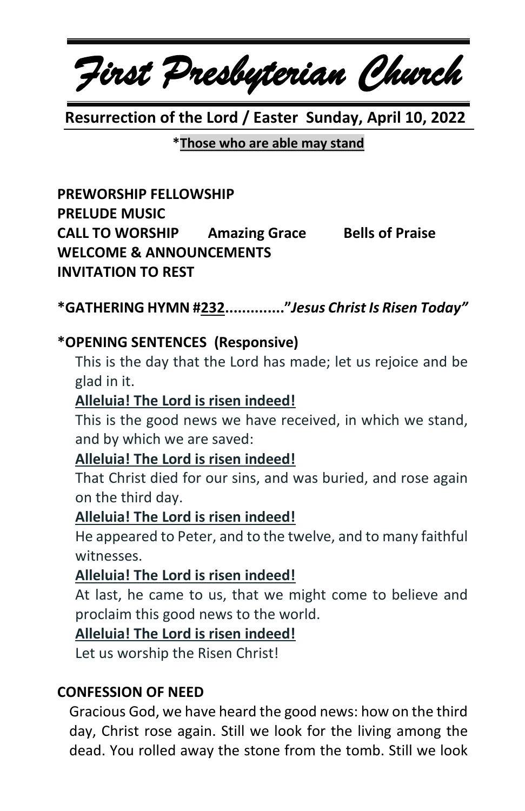*First Presbyterian Church*

 **Resurrection of the Lord / Easter Sunday, April 10, 2022**

**\*Those who are able may stand**

**PREWORSHIP FELLOWSHIP PRELUDE MUSIC CALL TO WORSHIP Amazing Grace Bells of Praise WELCOME & ANNOUNCEMENTS INVITATION TO REST**

**\*GATHERING HYMN #232.............."***Jesus Christ Is Risen Today"*

### **\*OPENING SENTENCES (Responsive)**

This is the day that the Lord has made; let us rejoice and be glad in it.

## **Alleluia! The Lord is risen indeed!**

This is the good news we have received, in which we stand, and by which we are saved:

### **Alleluia! The Lord is risen indeed!**

That Christ died for our sins, and was buried, and rose again on the third day.

### **Alleluia! The Lord is risen indeed!**

He appeared to Peter, and to the twelve, and to many faithful witnesses.

### **Alleluia! The Lord is risen indeed!**

At last, he came to us, that we might come to believe and proclaim this good news to the world.

### **Alleluia! The Lord is risen indeed!**

Let us worship the Risen Christ!

### **CONFESSION OF NEED**

Gracious God, we have heard the good news: how on the third day, Christ rose again. Still we look for the living among the dead. You rolled away the stone from the tomb. Still we look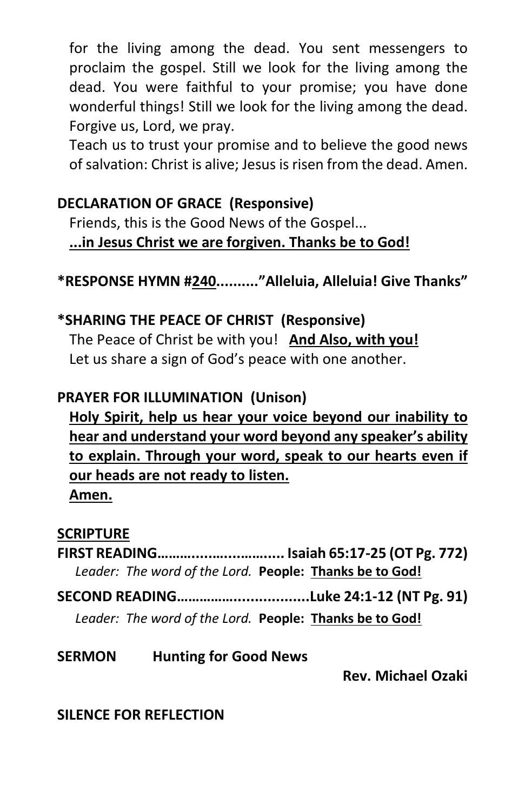for the living among the dead. You sent messengers to proclaim the gospel. Still we look for the living among the dead. You were faithful to your promise; you have done wonderful things! Still we look for the living among the dead. Forgive us, Lord, we pray.

Teach us to trust your promise and to believe the good news of salvation: Christ is alive; Jesus is risen from the dead. Amen.

#### **DECLARATION OF GRACE (Responsive)**

Friends, this is the Good News of the Gospel... **...in Jesus Christ we are forgiven. Thanks be to God!**

**\*RESPONSE HYMN #240.........."Alleluia, Alleluia! Give Thanks"**

## **\*SHARING THE PEACE OF CHRIST (Responsive)** The Peace of Christ be with you! **And Also, with you!** Let us share a sign of God's peace with one another.

## **PRAYER FOR ILLUMINATION (Unison)**

**Holy Spirit, help us hear your voice beyond our inability to hear and understand your word beyond any speaker's ability to explain. Through your word, speak to our hearts even if our heads are not ready to listen. Amen.**

### **SCRIPTURE**

**FIRST READING……….....…....……..... Isaiah 65:17-25 (OT Pg. 772)** *Leader: The word of the Lord.* **People: Thanks be to God!**

**SECOND READING……………..................Luke 24:1-12 (NT Pg. 91)**

*Leader: The word of the Lord.* **People: Thanks be to God!**

## **SERMON Hunting for Good News**

 **Rev. Michael Ozaki**

## **SILENCE FOR REFLECTION**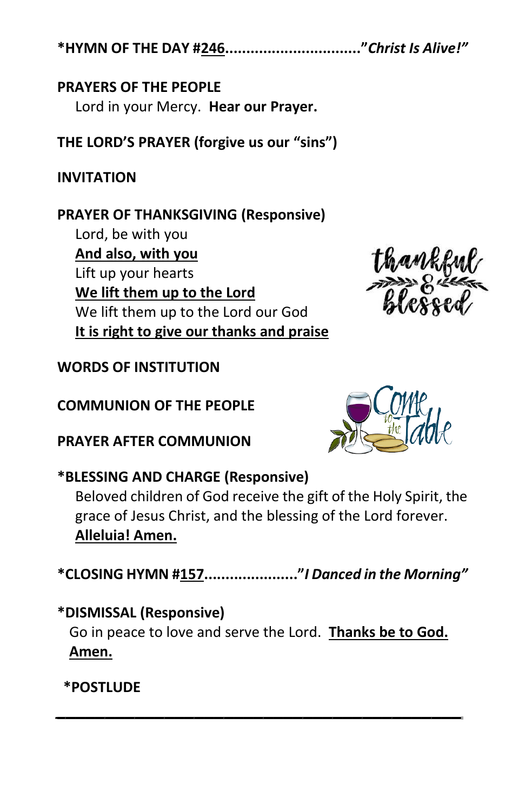**\*HYMN OF THE DAY #246................................"***Christ Is Alive!"*

### **PRAYERS OF THE PEOPLE**

Lord in your Mercy. **Hear our Prayer.**

**THE LORD'S PRAYER (forgive us our "sins")**

## **INVITATION**

## **PRAYER OF THANKSGIVING (Responsive)**

Lord, be with you **And also, with you** Lift up your hearts **We lift them up to the Lord** We lift them up to the Lord our God **It is right to give our thanks and praise**

## **WORDS OF INSTITUTION**

**COMMUNION OF THE PEOPLE**

**PRAYER AFTER COMMUNION**



# **\*BLESSING AND CHARGE (Responsive)**

Beloved children of God receive the gift of the Holy Spirit, the grace of Jesus Christ, and the blessing of the Lord forever. **Alleluia! Amen.**

**\*CLOSING HYMN #157......................"***I Danced in the Morning"*

*\_\_\_\_\_\_\_\_\_\_\_\_\_\_\_\_\_\_\_\_\_\_\_\_\_\_\_\_\_\_\_\_\_\_\_\_\_\_\_\_\_*

**\*DISMISSAL (Responsive)** Go in peace to love and serve the Lord. **Thanks be to God. Amen.**

## **\*POSTLUDE**